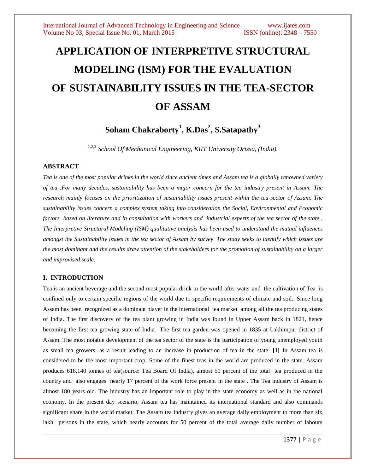# **APPLICATION OF INTERPRETIVE STRUCTURAL MODELING (ISM) FOR THE EVALUATION OF SUSTAINABILITY ISSUES IN THE TEA-SECTOR OF ASSAM**

**Soham Chakraborty<sup>1</sup> , K.Das<sup>2</sup> , S.Satapathy<sup>3</sup>**

*1,2,3 School Of Mechanical Engineering, KIIT University Orissa, (India).*

## **ABSTRACT**

*Tea is one of the most popular drinks in the world since ancient times and Assam tea is a globally renowned variety of tea .For many decades, sustainability has been a major concern for the tea industry present in Assam. The research mainly focuses on the prioritization of sustainability issues present within the tea-sector of Assam. The sustainability issues concern a complex system taking into consideration the Social, Environmental and Economic factors based on literature and in consultation with workers and industrial experts of the tea sector of the state . The Interpretive Structural Modeling (ISM) qualitative analysis has been used to understand the mutual influences amongst the Sustainability issues in the tea sector of Assam by survey. The study seeks to identify which issues are the most dominant and the results draw attention of the stakeholders for the promotion of sustainability on a larger and improvised scale.*

# **I. INTRODUCTION**

Tea is an ancient beverage and the second most popular drink in the world after water and the cultivation of Tea is confined only to certain specific regions of the world due to specific requirements of climate and soil.. Since long Assam has been recognized as a dominant player in the international tea market among all the tea producing states of India. The first discovery of the tea plant growing in India was found in Upper Assam back in 1821, hence becoming the first tea growing state of India. The first tea garden was opened in 1835 at Lakhimpur district of Assam. The most notable development of the tea sector of the state is the participation of young unemployed youth as small tea growers, as a result leading to an increase in production of tea in the state. **[1]** In Assam tea is considered to be the most important crop. Some of the finest teas in the world are produced in the state. Assam produces 618,140 tonnes of tea(source: Tea Board Of India), almost 51 percent of the total tea produced in the country and also engages nearly 17 percent of the work force present in the state . The Tea industry of Assam is almost 180 years old. The industry has an important role to play in the state economy as well as in the national economy. In the present day scenario, Assam tea has maintained its international standard and also commands significant share in the world market. The Assam tea industry gives an average daily employment to more than six lakh persons in the state, which nearly accounts for 50 percent of the total average daily number of labours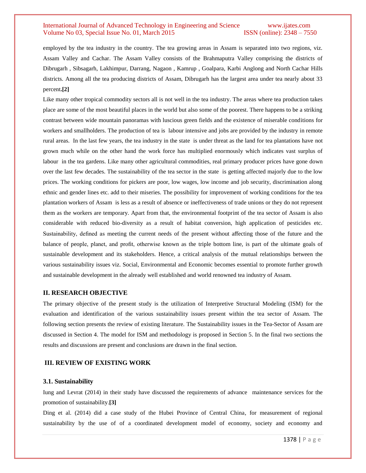employed by the tea industry in the country. The tea growing areas in Assam is separated into two regions, viz. Assam Valley and Cachar. The Assam Valley consists of the Brahmaputra Valley comprising the districts of Dibrugarh , Sibsagarh, Lakhimpur, Darrang, Nagaon , Kamrup , Goalpara, Karbi Anglong and North Cachar Hills districts. Among all the tea producing districts of Assam, Dibrugarh has the largest area under tea nearly about 33 percent**.[2]**

Like many other tropical commodity sectors all is not well in the tea industry. The areas where tea production takes place are some of the most beautiful places in the world but also some of the poorest. There happens to be a striking contrast between wide mountain panoramas with luscious green fields and the existence of miserable conditions for workers and smallholders. The production of tea is labour intensive and jobs are provided by the industry in remote rural areas. In the last few years, the tea industry in the state is under threat as the land for tea plantations have not grown much while on the other hand the work force has multiplied enormously which indicates vast surplus of labour in the tea gardens. Like many other agricultural commodities, real primary producer prices have gone down over the last few decades. The sustainability of the tea sector in the state is getting affected majorly due to the low prices. The working conditions for pickers are poor, low wages, low income and job security, discrimination along ethnic and gender lines etc. add to their miseries. The possibility for improvement of working conditions for the tea plantation workers of Assam is less as a result of absence or ineffectiveness of trade unions or they do not represent them as the workers are temporary. Apart from that, the environmental footprint of the tea sector of Assam is also considerable with reduced bio-diversity as a result of habitat conversion, high application of pesticides etc. Sustainability, defined as meeting the current needs of the present without affecting those of the future and the balance of people, planet, and profit, otherwise known as the triple bottom line, is part of the ultimate goals of sustainable development and its stakeholders. Hence, a critical analysis of the mutual relationships between the various sustainability issues viz. Social, Environmental and Economic becomes essential to promote further growth and sustainable development in the already well established and world renowned tea industry of Assam.

#### **II. RESEARCH OBJECTIVE**

The primary objective of the present study is the utilization of Interpretive Structural Modeling (ISM) for the evaluation and identification of the various sustainability issues present within the tea sector of Assam. The following section presents the review of existing literature. The Sustainability issues in the Tea-Sector of Assam are discussed in Section 4. The model for ISM and methodology is proposed in Section 5. In the final two sections the results and discussions are present and conclusions are drawn in the final section.

#### **III. REVIEW OF EXISTING WORK**

#### **3.1. Sustainability**

Iung and Levrat (2014) in their study have discussed the requirements of advance maintenance services for the promotion of sustainability.**[3]**

Ding et al. (2014) did a case study of the Hubei Province of Central China, for measurement of regional sustainability by the use of of a coordinated development model of economy, society and economy and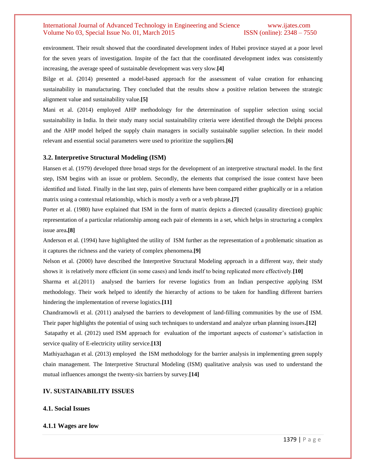environment. Their result showed that the coordinated development index of Hubei province stayed at a poor level for the seven years of investigation. Inspite of the fact that the coordinated development index was consistently increasing, the average speed of sustainable development was very slow.**[4]**

Bilge et al. (2014) presented a model-based approach for the assessment of value creation for enhancing sustainability in manufacturing. They concluded that the results show a positive relation between the strategic alignment value and sustainability value.**[5]**

Mani et al. (2014) employed AHP methodology for the determination of supplier selection using social sustainability in India. In their study many social sustainability criteria were identified through the Delphi process and the AHP model helped the supply chain managers in socially sustainable supplier selection. In their model relevant and essential social parameters were used to prioritize the suppliers.**[6]**

## **3.2. Interpretive Structural Modeling (ISM)**

Hansen et al. (1979) developed three broad steps for the development of an interpretive structural model. In the first step, ISM begins with an issue or problem. Secondly, the elements that comprised the issue context have been identified and listed. Finally in the last step, pairs of elements have been compared either graphically or in a relation matrix using a contextual relationship, which is mostly a verb or a verb phrase**.[7]**

Porter et al. (1980) have explained that ISM in the form of matrix depicts a directed (causality direction) graphic representation of a particular relationship among each pair of elements in a set, which helps in structuring a complex issue area**.[8]**

Anderson et al. (1994) have highlighted the utility of ISM further as the representation of a problematic situation as it captures the richness and the variety of complex phenomena.**[9]**

Nelson et al. (2000) have described the Interpretive Structural Modeling approach in a different way, their study shows it is relatively more efficient (in some cases) and lends itself to being replicated more effectively.**[10]**

Sharma et al.(2011) analysed the barriers for reverse logistics from an Indian perspective applying ISM methodology. Their work helped to identify the hierarchy of actions to be taken for handling different barriers hindering the implementation of reverse logistics.**[11]**

Chandramowli et al. (2011) analysed the barriers to development of land-filling communities by the use of ISM. Their paper highlights the potential of using such techniques to understand and analyze urban planning issues**.[12]**

Satapathy et al. (2012) used ISM approach for evaluation of the important aspects of customer's satisfaction in service quality of E-electricity utility service.**[13]**

Mathiyazhagan et al. (2013) employed the ISM methodology for the barrier analysis in implementing green supply chain management. The Interpretive Structural Modeling (ISM) qualitative analysis was used to understand the mutual influences amongst the twenty-six barriers by survey.**[14]**

## **IV. SUSTAINABILITY ISSUES**

# **4.1. Social Issues**

#### **4.1.1 Wages are low**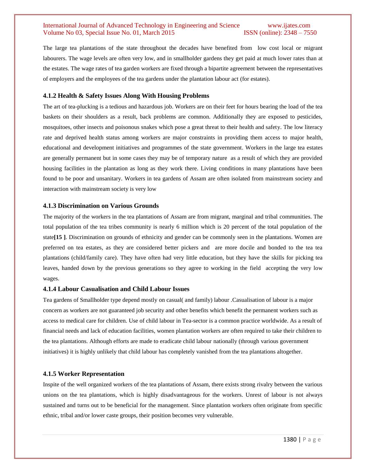The large tea plantations of the state throughout the decades have benefited from low cost local or migrant labourers. The wage levels are often very low, and in smallholder gardens they get paid at much lower rates than at the estates. The wage rates of tea garden workers are fixed through a bipartite agreement between the representatives of employers and the employees of the tea gardens under the plantation labour act (for estates).

#### **4.1.2 Health & Safety Issues Along With Housing Problems**

The art of tea-plucking is a tedious and hazardous job. Workers are on their feet for hours bearing the load of the tea baskets on their shoulders as a result, back problems are common. Additionally they are exposed to pesticides, mosquitoes, other insects and poisonous snakes which pose a great threat to their health and safety. The low literacy rate and deprived health status among workers are major constraints in providing them access to major health, educational and development initiatives and programmes of the state government. Workers in the large tea estates are generally permanent but in some cases they may be of temporary nature as a result of which they are provided housing facilities in the plantation as long as they work there. Living conditions in many plantations have been found to be poor and unsanitary. Workers in tea gardens of Assam are often isolated from mainstream society and interaction with mainstream society is very low

#### **4.1.3 Discrimination on Various Grounds**

The majority of the workers in the tea plantations of Assam are from migrant, marginal and tribal communities. The total population of the tea tribes community is nearly 6 million which is 20 percent of the total population of the state**[15 ]**. Discrimination on grounds of ethnicity and gender can be commonly seen in the plantations. Women are preferred on tea estates, as they are considered better pickers and are more docile and bonded to the tea tea plantations (child/family care). They have often had very little education, but they have the skills for picking tea leaves, handed down by the previous generations so they agree to working in the field accepting the very low wages.

#### **4.1.4 Labour Casualisation and Child Labour Issues**

Tea gardens of Smallholder type depend mostly on casual( and family) labour .Casualisation of labour is a major concern as workers are not guaranteed job security and other benefits which benefit the permanent workers such as access to medical care for children. Use of child labour in Tea-sector is a common practice worldwide. As a result of financial needs and lack of education facilities, women plantation workers are often required to take their children to the tea plantations. Although efforts are made to eradicate child labour nationally (through various government initiatives) it is highly unlikely that child labour has completely vanished from the tea plantations altogether.

#### **4.1.5 Worker Representation**

Inspite of the well organized workers of the tea plantations of Assam, there exists strong rivalry between the various unions on the tea plantations, which is highly disadvantageous for the workers. Unrest of labour is not always sustained and turns out to be beneficial for the management. Since plantation workers often originate from specific ethnic, tribal and/or lower caste groups, their position becomes very vulnerable.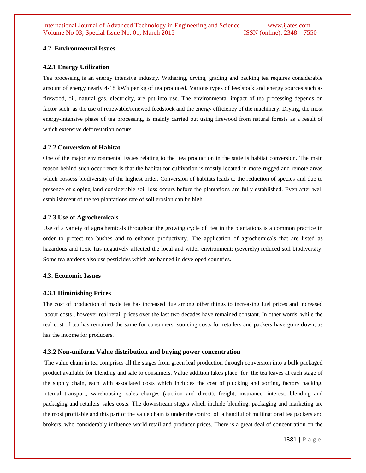## **4.2. Environmental Issues**

#### **4.2.1 Energy Utilization**

Tea processing is an energy intensive industry. Withering, drying, grading and packing tea requires considerable amount of energy nearly 4-18 kWh per kg of tea produced. Various types of feedstock and energy sources such as firewood, oil, natural gas, electricity, are put into use. The environmental impact of tea processing depends on factor such as the use of renewable/renewed feedstock and the energy efficiency of the machinery. Drying, the most energy-intensive phase of tea processing, is mainly carried out using firewood from natural forests as a result of which extensive deforestation occurs.

## **4.2.2 Conversion of Habitat**

One of the major environmental issues relating to the tea production in the state is habitat conversion. The main reason behind such occurrence is that the habitat for cultivation is mostly located in more rugged and remote areas which possess biodiversity of the highest order. Conversion of habitats leads to the reduction of species and due to presence of sloping land considerable soil loss occurs before the plantations are fully established. Even after well establishment of the tea plantations rate of soil erosion can be high.

#### **4.2.3 Use of Agrochemicals**

Use of a variety of agrochemicals throughout the growing cycle of tea in the plantations is a common practice in order to protect tea bushes and to enhance productivity. The application of agrochemicals that are listed as hazardous and toxic has negatively affected the local and wider environment: (severely) reduced soil biodiversity. Some tea gardens also use pesticides which are banned in developed countries.

#### **4.3. Economic Issues**

#### **4.3.1 Diminishing Prices**

The cost of production of made tea has increased due among other things to increasing fuel prices and increased labour costs , however real retail prices over the last two decades have remained constant. In other words, while the real cost of tea has remained the same for consumers, sourcing costs for retailers and packers have gone down, as has the income for producers.

#### **4.3.2 Non-uniform Value distribution and buying power concentration**

The value chain in tea comprises all the stages from green leaf production through conversion into a bulk packaged product available for blending and sale to consumers. Value addition takes place for the tea leaves at each stage of the supply chain, each with associated costs which includes the cost of plucking and sorting, factory packing, internal transport, warehousing, sales charges (auction and direct), freight, insurance, interest, blending and packaging and retailers' sales costs. The downstream stages which include blending, packaging and marketing are the most profitable and this part of the value chain is under the control of a handful of multinational tea packers and brokers, who considerably influence world retail and producer prices. There is a great deal of concentration on the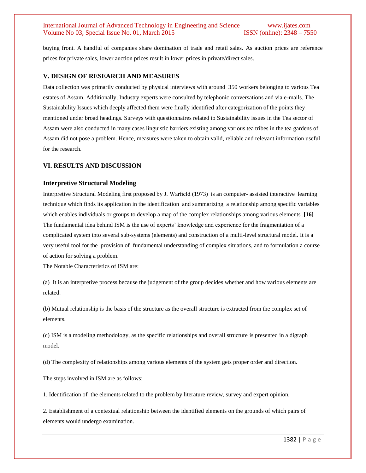buying front. A handful of companies share domination of trade and retail sales. As auction prices are reference prices for private sales, lower auction prices result in lower prices in private/direct sales.

#### **V. DESIGN OF RESEARCH AND MEASURES**

Data collection was primarily conducted by physical interviews with around 350 workers belonging to various Tea estates of Assam. Additionally, Industry experts were consulted by telephonic conversations and via e-mails. The Sustainability Issues which deeply affected them were finally identified after categorization of the points they mentioned under broad headings. Surveys with questionnaires related to Sustainability issues in the Tea sector of Assam were also conducted in many cases linguistic barriers existing among various tea tribes in the tea gardens of Assam did not pose a problem. Hence, measures were taken to obtain valid, reliable and relevant information useful for the research.

#### **VI. RESULTS AND DISCUSSION**

#### **Interpretive Structural Modeling**

Interpretive Structural Modeling first proposed by J. Warfield (1973) is an computer- assisted interactive learning technique which finds its application in the identification and summarizing a relationship among specific variables which enables individuals or groups to develop a map of the complex relationships among various elements .**[16]** The fundamental idea behind ISM is the use of experts' knowledge and experience for the fragmentation of a complicated system into several sub-systems (elements) and construction of a multi-level structural model. It is a very useful tool for the provision of fundamental understanding of complex situations, and to formulation a course of action for solving a problem.

The Notable Characteristics of ISM are:

(a) It is an interpretive process because the judgement of the group decides whether and how various elements are related.

(b) Mutual relationship is the basis of the structure as the overall structure is extracted from the complex set of elements.

(c) ISM is a modeling methodology, as the specific relationships and overall structure is presented in a digraph model.

(d) The complexity of relationships among various elements of the system gets proper order and direction.

The steps involved in ISM are as follows:

1. Identification of the elements related to the problem by literature review, survey and expert opinion.

2. Establishment of a contextual relationship between the identified elements on the grounds of which pairs of elements would undergo examination.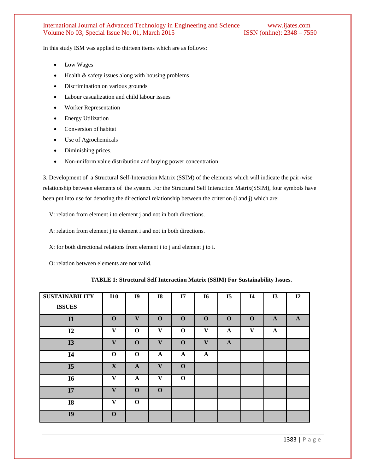In this study ISM was applied to thirteen items which are as follows:

- Low Wages
- Health & safety issues along with housing problems
- Discrimination on various grounds
- Labour casualization and child labour issues
- Worker Representation
- Energy Utilization
- Conversion of habitat
- Use of Agrochemicals
- Diminishing prices.
- Non-uniform value distribution and buying power concentration

3. Development of a Structural Self-Interaction Matrix (SSIM) of the elements which will indicate the pair-wise relationship between elements of the system. For the Structural Self Interaction Matrix(SSIM), four symbols have been put into use for denoting the directional relationship between the criterion (i and j) which are:

V: relation from element i to element j and not in both directions.

A: relation from element j to element i and not in both directions.

- X: for both directional relations from element i to j and element j to i.
- O: relation between elements are not valid.

| <b>SUSTAINABILITY</b><br><b>ISSUES</b> | <b>I10</b>   | I <sub>9</sub> | <b>I8</b>    | I7           | <b>I6</b>    | I <sub>5</sub> | <b>I4</b>    | <b>I3</b>    | 12           |
|----------------------------------------|--------------|----------------|--------------|--------------|--------------|----------------|--------------|--------------|--------------|
| I1                                     | $\mathbf{O}$ | V              | $\mathbf 0$  | $\mathbf 0$  | $\mathbf 0$  | $\mathbf 0$    | $\mathbf 0$  | $\mathbf{A}$ | $\mathbf{A}$ |
| I2                                     | V            | $\mathbf 0$    | $\mathbf{V}$ | $\mathbf 0$  | V            | $\mathbf{A}$   | $\mathbf{V}$ | $\mathbf A$  |              |
| <b>I3</b>                              | $\mathbf{V}$ | $\mathbf 0$    | $\mathbf{V}$ | $\mathbf 0$  | V            | $\mathbf{A}$   |              |              |              |
| <b>I4</b>                              | $\mathbf 0$  | $\mathbf{o}$   | $\mathbf A$  | $\mathbf{A}$ | $\mathbf{A}$ |                |              |              |              |
| I <sub>5</sub>                         | X            | $\mathbf{A}$   | V            | $\mathbf{0}$ |              |                |              |              |              |
| <b>I6</b>                              | V            | $\mathbf{A}$   | V            | $\mathbf 0$  |              |                |              |              |              |
| I7                                     | $\mathbf{V}$ | $\mathbf 0$    | $\mathbf 0$  |              |              |                |              |              |              |
| <b>I8</b>                              | V            | $\mathbf 0$    |              |              |              |                |              |              |              |
| I <sub>9</sub>                         | $\mathbf 0$  |                |              |              |              |                |              |              |              |
|                                        |              |                |              |              |              |                |              |              |              |

 **TABLE 1: Structural Self Interaction Matrix (SSIM) For Sustainability Issues.**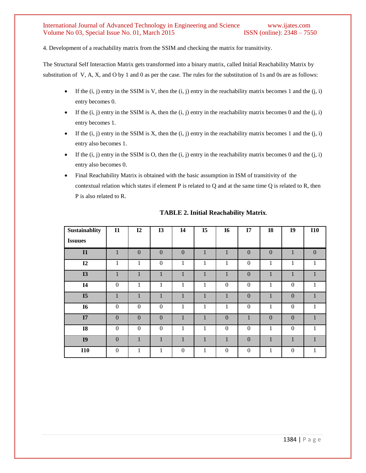4. Development of a reachability matrix from the SSIM and checking the matrix for transitivity.

The Structural Self Interaction Matrix gets transformed into a binary matrix, called Initial Reachability Matrix by substitution of V, A, X, and O by 1 and 0 as per the case. The rules for the substitution of 1s and 0s are as follows:

- If the  $(i, j)$  entry in the SSIM is V, then the  $(i, j)$  entry in the reachability matrix becomes 1 and the  $(i, i)$ entry becomes 0.
- If the  $(i, j)$  entry in the SSIM is A, then the  $(i, j)$  entry in the reachability matrix becomes 0 and the  $(i, i)$ entry becomes 1.
- If the  $(i, j)$  entry in the SSIM is X, then the  $(i, j)$  entry in the reachability matrix becomes 1 and the  $(i, i)$ entry also becomes 1.
- If the  $(i, j)$  entry in the SSIM is O, then the  $(i, j)$  entry in the reachability matrix becomes 0 and the  $(i, i)$ entry also becomes 0.
- Final Reachability Matrix is obtained with the basic assumption in ISM of transitivity of the contextual relation which states if element P is related to Q and at the same time Q is related to R, then P is also related to R.

| Sustainablity  | $\mathbf{I}$     | I2           | <b>I3</b>    | I <sub>4</sub>   | I <sub>5</sub> | <b>I6</b>      | I7             | <b>I8</b>    | I <sub>9</sub>   | <b>I10</b>   |
|----------------|------------------|--------------|--------------|------------------|----------------|----------------|----------------|--------------|------------------|--------------|
| <b>Issuues</b> |                  |              |              |                  |                |                |                |              |                  |              |
| I1             | 1                | $\mathbf{0}$ | $\mathbf{0}$ | $\mathbf{0}$     | $\mathbf{1}$   | $\mathbf{1}$   | $\overline{0}$ | $\mathbf{0}$ | $\mathbf{1}$     | $\mathbf{0}$ |
| I2             | 1                | 1            | $\mathbf{0}$ | $\mathbf{1}$     | $\mathbf{1}$   | $\mathbf{1}$   | $\mathbf{0}$   | 1            | 1                | $\mathbf{1}$ |
| <b>I3</b>      | 1                | 1            | $\mathbf{1}$ | 1                | $\mathbf{1}$   | $\mathbf{1}$   | $\overline{0}$ | 1            | 1                | 1            |
| I <sub>4</sub> | $\mathbf{0}$     | 1            | 1            | 1                | $\mathbf{1}$   | $\theta$       | $\overline{0}$ | 1            | $\overline{0}$   | 1            |
| I <sub>5</sub> | $\mathbf{1}$     | 1            | 1            | $\mathbf{1}$     | $\mathbf{1}$   | $\mathbf{1}$   | $\mathbf{0}$   | 1            | $\mathbf{0}$     | $\mathbf{1}$ |
| <b>I6</b>      | $\Omega$         | $\Omega$     | $\theta$     | 1                | $\mathbf{1}$   | 1              | $\Omega$       | 1            | $\boldsymbol{0}$ | $\mathbf{1}$ |
| I7             | $\Omega$         | $\mathbf{0}$ | $\Omega$     | 1                | $\mathbf{1}$   | $\overline{0}$ | $\mathbf{1}$   | $\Omega$     | $\mathbf{0}$     | $\mathbf{1}$ |
| <b>I8</b>      | $\boldsymbol{0}$ | $\mathbf{0}$ | $\mathbf{0}$ | 1                | $\mathbf{1}$   | $\overline{0}$ | $\Omega$       | 1            | $\boldsymbol{0}$ | $\mathbf{1}$ |
| I <sub>9</sub> | $\mathbf{0}$     | 1            | 1            | 1                | $\mathbf{1}$   | $\mathbf{1}$   | $\theta$       |              | $\mathbf{1}$     | $\mathbf{1}$ |
| <b>I10</b>     | $\mathbf{0}$     | $\mathbf{1}$ | 1            | $\boldsymbol{0}$ | $\mathbf{1}$   | $\mathbf{0}$   | $\overline{0}$ |              | $\overline{0}$   | $\mathbf{1}$ |

**TABLE 2. Initial Reachability Matrix**.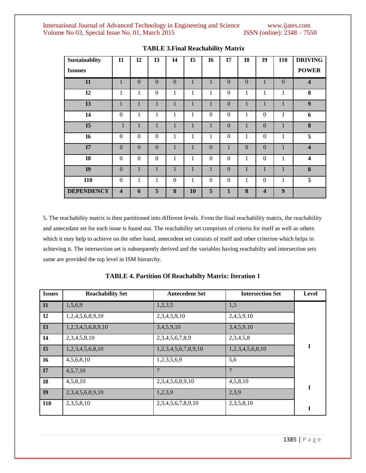| Sustainablity     | $\mathbf{I}$            | I2           | <b>I3</b>        | I <sub>4</sub> | I <sub>5</sub> | <b>I6</b>        | I7               | <b>I8</b>        | I <sub>9</sub>          | <b>I10</b>       | <b>DRIVING</b>          |
|-------------------|-------------------------|--------------|------------------|----------------|----------------|------------------|------------------|------------------|-------------------------|------------------|-------------------------|
| <b>Issuues</b>    |                         |              |                  |                |                |                  |                  |                  |                         |                  | <b>POWER</b>            |
| I1                | $\mathbf{1}$            | $\mathbf{0}$ | $\mathbf{0}$     | $\mathbf{0}$   | $\mathbf{1}$   | 1                | $\Omega$         | $\boldsymbol{0}$ | $\mathbf{1}$            | $\mathbf{0}$     | $\overline{\mathbf{4}}$ |
| I2                | $\mathbf{1}$            | 1            | $\boldsymbol{0}$ | $\mathbf{1}$   | $\mathbf{1}$   | $\mathbf{1}$     | $\Omega$         | $\mathbf{1}$     | 1                       | 1                | 8                       |
| <b>I3</b>         | $\mathbf{1}$            | 1            | 1                | 1              | $\mathbf{1}$   | 1                | $\mathbf{0}$     | 1                | $\mathbf{1}$            | 1                | 9                       |
| I <sub>4</sub>    | $\overline{0}$          | 1            | 1                | 1              | $\mathbf{1}$   | $\theta$         | $\Omega$         | $\mathbf{1}$     | $\boldsymbol{0}$        | $\mathbf{1}$     | 6                       |
| I <sub>5</sub>    | $\mathbf{1}$            | $\mathbf{1}$ | $\mathbf{1}$     | $\mathbf{1}$   | $\mathbf{1}$   | $\mathbf{1}$     | $\Omega$         | 1                | $\boldsymbol{0}$        | $\mathbf{1}$     | 8                       |
| <b>I6</b>         | $\theta$                | $\mathbf{0}$ | $\mathbf{0}$     | $\mathbf{1}$   | $\mathbf{1}$   | 1                | $\theta$         | $\mathbf{1}$     | $\boldsymbol{0}$        | 1                | 5                       |
| I7                | $\overline{0}$          | $\mathbf{0}$ | $\Omega$         | $\mathbf{1}$   | $\mathbf{1}$   | $\Omega$         | 1                | $\boldsymbol{0}$ | $\Omega$                | $\mathbf{1}$     | $\overline{\mathbf{4}}$ |
| <b>I8</b>         | $\overline{0}$          | $\mathbf{0}$ | $\boldsymbol{0}$ | 1              | 1              | $\boldsymbol{0}$ | $\boldsymbol{0}$ | $\mathbf 1$      | $\boldsymbol{0}$        | $\mathbf{1}$     | $\overline{\mathbf{4}}$ |
| I <sub>9</sub>    | $\overline{0}$          | 1            | $\mathbf{1}$     | $\mathbf{1}$   | $\mathbf{1}$   | $\mathbf{1}$     | $\Omega$         | 1                | $\mathbf{1}$            | $\mathbf{1}$     | 8                       |
| <b>I10</b>        | $\theta$                | 1            | $\mathbf{1}$     | $\Omega$       | 1              | $\theta$         | $\theta$         | 1                | $\Omega$                | 1                | 5                       |
| <b>DEPENDENCY</b> | $\overline{\mathbf{4}}$ | 6            | 5                | 8              | 10             | 5                | 1                | 8                | $\overline{\mathbf{4}}$ | $\boldsymbol{9}$ |                         |

**TABLE 3.Final Reachability Matrix**

5. The reachability matrix is then partitioned into different levels. From the final reachability matrix, the reachability and antecedant set for each issue is found out. The reachability set comprises of criteria for itself as well as others which it may help to achieve on the other hand, antecedent set consists of itself and other criterion which helps in achieving it. The intersection set is subsequently derived and the variables having reachabilty and intersection sets same are provided the top level in ISM hierarchy.

| <b>Issues</b>  | <b>Reachability Set</b> | <b>Antecedent Set</b>      | <b>Intersection Set</b> | Level |
|----------------|-------------------------|----------------------------|-------------------------|-------|
| $\mathbf{I}$   | 1,5,6,9                 | 1,2,3,5                    | 1,5                     |       |
| $\mathbf{I2}$  | 1,2,4,5,6,8,9,10        | 2,3,4,5,9,10               | 2,4,5,9,10              |       |
| I3             | 1,2,3,4,5,6,8,9,10      | 3,4,5,9,10                 | 3,4,5,9,10              |       |
| I <sub>4</sub> | 2,3,4,5,8,10            | 2,3,4,5,6,7,8,9            | 2,3,4,5,8               |       |
| I <sub>5</sub> | 1,2,3,4,5,6,8,10        | 1,2,3,4,5,6,7,8,9,10       | 1,2,3,4,5,6,8,10        | I     |
| <b>I6</b>      | 4,5,6,8,10              | 1,2,3,5,6,9                | 5,6                     |       |
| I7             | 4,5,7,10                |                            | 7                       |       |
| <b>I8</b>      | 4,5,8,10                | 2,3,4,5,6,8,9,10           | 4,5,8,10                | I     |
| I <sub>9</sub> | 2,3,4,5,6,8,9,10        | 1,2,3,9                    | 2,3,9                   |       |
| <b>I10</b>     | 2,3,5,8,10              | 2, 3, 4, 5, 6, 7, 8, 9, 10 | 2,3,5,8,10              | I     |

**TABLE 4. Partition Of Reachabilty Matrix: Iteration 1**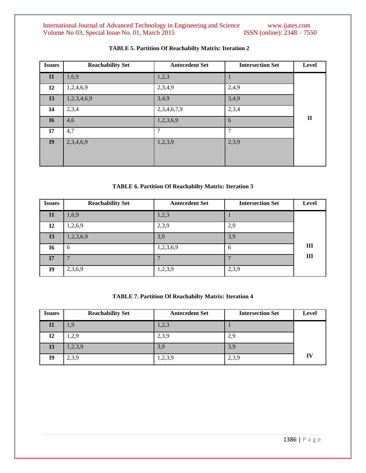International Journal of Advanced Technology in Engineering and Science www.ijates.com Volume No 03, Special Issue No. 01, March 2015 ISSN (online): 2348 – 7550 Volume No 03, Special Issue No. 01, March 2015

| <b>Issues</b>  | <b>Reachability Set</b> | <b>Antecedent Set</b> | <b>Intersection Set</b> | Level        |
|----------------|-------------------------|-----------------------|-------------------------|--------------|
| $\mathbf{I}$   | 1,6,9                   | 1,2,3                 |                         |              |
| $\mathbf{I2}$  | 1,2,4,6,9               | 2,3,4,9               | 2,4,9                   |              |
| <b>I3</b>      | 1,2,3,4,6,9             | 3,4,9                 | 3,4,9                   |              |
| <b>I4</b>      | 2,3,4                   | 2,3,4,6,7,9           | 2,3,4                   |              |
| <b>I6</b>      | 4,6                     | 1,2,3,6,9             | 6                       | $\mathbf{I}$ |
| I7             | 4,7                     | 7                     | $\tau$                  |              |
| I <sub>9</sub> | 2,3,4,6,9               | 1,2,3,9               | 2,3,9                   |              |
|                |                         |                       |                         |              |

# **TABLE 5. Partition Of Reachabilty Matrix: Iteration 2**

# **TABLE 6. Partition Of Reachabilty Matrix: Iteration 3**

| <b>Issues</b> | <b>Reachability Set</b> | <b>Antecedent Set</b> | <b>Intersection Set</b> | <b>Level</b> |
|---------------|-------------------------|-----------------------|-------------------------|--------------|
| $\mathbf{I}$  | 1,6,9                   | 1,2,3                 |                         |              |
| 12            | 1,2,6,9                 | 2,3,9                 | 2,9                     |              |
| I3            | 1,2,3,6,9               | 3,9                   | 3,9                     |              |
| <b>I6</b>     | 6                       | 1,2,3,6,9             | 6                       | Ш            |
| I7            |                         |                       |                         | Ш            |
| <b>I9</b>     | 2,3,6,9                 | 1,2,3,9               | 2,3,9                   |              |

# **TABLE 7. Partition Of Reachabilty Matrix: Iteration 4**

| <i><u><b>Issues</b></u></i> | <b>Reachability Set</b> | <b>Antecedent Set</b> | <b>Intersection Set</b> | Level |
|-----------------------------|-------------------------|-----------------------|-------------------------|-------|
| 11                          | 1,9                     | 1,2,3                 |                         |       |
| 12                          | 1,2,9                   | 2,3,9                 | 2,9                     |       |
| <b>I3</b>                   | 2,3,9                   | 3,9                   | 3,9                     |       |
| <b>I9</b>                   | 2,3,9                   | 1,2,3,9               | 2,3,9                   | IV    |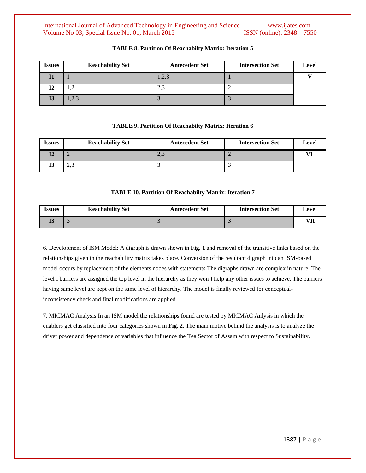| <i><u><b>Issues</b></u></i> | <b>Reachability Set</b> | <b>Antecedent Set</b> | <b>Intersection Set</b> | Level |
|-----------------------------|-------------------------|-----------------------|-------------------------|-------|
|                             |                         | 1,2,3                 |                         |       |
| ╹                           | کی 1                    | ن ویک                 | ∼                       |       |
| IJ                          | $\cap$<br>حوكوبة        |                       |                         |       |

## **TABLE 8. Partition Of Reachabilty Matrix: Iteration 5**

#### **TABLE 9. Partition Of Reachabilty Matrix: Iteration 6**

| <i>Issues</i> | <b>Reachability Set</b> | <b>Antecedent Set</b> | <b>Intersection Set</b> | <b>Level</b> |
|---------------|-------------------------|-----------------------|-------------------------|--------------|
|               | -                       | ن وڪ                  |                         |              |
| IJ            | ົ<br>ر په               |                       |                         |              |

## **TABLE 10. Partition Of Reachabilty Matrix: Iteration 7**

| Issues | <b>Reachability Set</b> | <b>Antecedent Set</b> | <b>Intersection Set</b> | Level |
|--------|-------------------------|-----------------------|-------------------------|-------|
| ᅭ      |                         |                       |                         | VII   |

6. Development of ISM Model: A digraph is drawn shown in **Fig. 1** and removal of the transitive links based on the relationships given in the reachability matrix takes place. Conversion of the resultant digraph into an ISM-based model occurs by replacement of the elements nodes with statements The digraphs drawn are complex in nature. The level I barriers are assigned the top level in the hierarchy as they won't help any other issues to achieve. The barriers having same level are kept on the same level of hierarchy. The model is finally reviewed for conceptualinconsistency check and final modifications are applied.

7. MICMAC Analysis:In an ISM model the relationships found are tested by MICMAC Anlysis in which the enablers get classified into four categories shown in **Fig. 2**. The main motive behind the analysis is to analyze the driver power and dependence of variables that influence the Tea Sector of Assam with respect to Sustainability.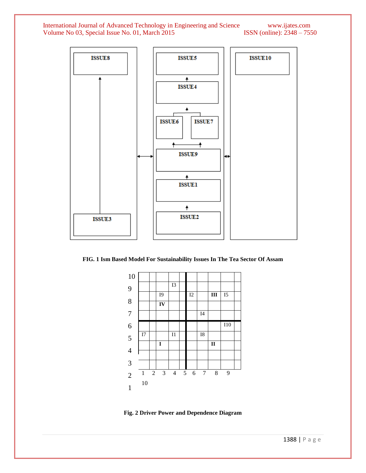International Journal of Advanced Technology in Engineering and Science www.ijates.com Volume No 03, Special Issue No. 01, March 2015 ISSN (online): 2348 – 7550 Volume No 03, Special Issue No. 01, March 2015



**FIG. 1 Ism Based Model For Sustainability Issues In The Tea Sector Of Assam** 



**Fig. 2 Driver Power and Dependence Diagram**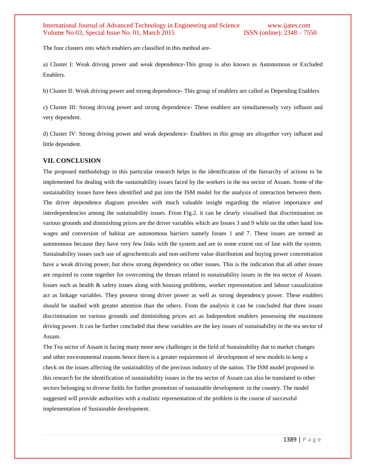The four clusters into which enablers are classified in this method are-

a) Cluster I: Weak driving power and weak dependence-This group is also known as Autonomous or Excluded Enablers.

b) Cluster II: Weak driving power and strong dependence- This group of enablers are called as Depending Enablers

c) Cluster III: Strong driving power and strong dependence- These enablers are simultaneously very influent and very dependent.

d) Cluster IV: Strong driving power and weak dependence- Enablers in this group are altogether very influent and little dependent.

## **VII. CONCLUSION**

The proposed methodology in this particular research helps in the identification of the hierarchy of actions to be implemented for dealing with the sustainability issues faced by the workers in the tea sector of Assam. Some of the sustainability issues have been identified and put into the ISM model for the analysis of interaction between them. The driver dependence diagram provides with much valuable insight regarding the relative importance and interdependencies among the sustainability issues. From Fig.2. it can be clearly visualised that discrimination on various grounds and diminishing prices are the driver variables which are Issues 3 and 9 while on the other hand low wages and conversion of habitat are autonomous barriers namely Issues 1 and 7. These issues are termed as autonomous because they have very few links with the system and are to some extent out of line with the system. Sustainability issues such use of agrochemicals and non-uniform value distribution and buying power concentration have a weak driving power, but show strong dependency on other issues. This is the indication that all other issues are required to come together for overcoming the threats related to sustainability issues in the tea sector of Assam. Issues such as health & safety issues along with housing problems, worker representation and labour casualization act as linkage variables. They possess strong driver power as well as strong dependency power. These enablers should be studied with greater attention than the others. From the analysis it can be concluded that three issues discrimination on various grounds and diminishing prices act as Independent enablers possessing the maximum driving power. It can be further concluded that these variables are the key issues of sustainability in the tea sector of Assam.

The Tea sector of Assam is facing many more new challenges in the field of Sustainability due to market changes and other environmental reasons hence there is a greater requirement of development of new models to keep a check on the issues affecting the sustainability of the precious industry of the nation. The ISM model proposed in this research for the identification of sustainability issues in the tea sector of Assam can also be translated to other sectors belonging to diverse fields for further promotion of sustainable development in the country. The model suggested will provide authorities with a realistic representation of the problem in the course of successful implementation of Sustainable development.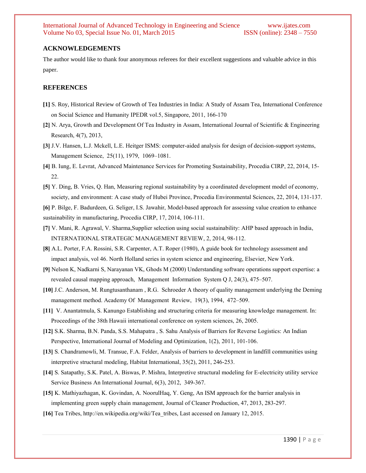## **ACKNOWLEDGEMENTS**

The author would like to thank four anonymous referees for their excellent suggestions and valuable advice in this paper.

#### **REFERENCES**

- **[1]** S. Roy, Historical Review of Growth of Tea Industries in India: A Study of Assam Tea, International Conference on Social Science and Humanity IPEDR vol.5, Singapore, 2011, 166-170
- **[2]** N. Arya, Growth and Development Of Tea Industry in Assam, International Journal of Scientific & Engineering Research, 4(7), 2013,
- **[3]** J.V. Hansen, L.J. Mckell, L.E. Heitger ISMS: computer-aided analysis for design of decision-support systems, Management Science, 25(11), 1979, 1069–1081.
- **[4]** B. Iung, E. Levrat, Advanced Maintenance Services for Promoting Sustainability, Procedia CIRP, 22, 2014, 15- 22.
- **[5]** Y. Ding, B. Vries, Q. Han, Measuring regional sustainability by a coordinated development model of economy, society, and environment: A case study of Hubei Province, Procedia Environmental Sciences, 22, 2014, 131-137.
- **[6]** P. Bilge, F. Badurdeen, G. Seliger, I.S. Jawahir, Model-based approach for assessing value creation to enhance sustainability in manufacturing, Procedia CIRP, 17, 2014, 106-111.
- **[7]** V. Mani, R. Agrawal, V. Sharma,Supplier selection using social sustainability: AHP based approach in India, INTERNATIONAL STRATEGIC MANAGEMENT REVIEW, 2, 2014, 98-112.
- **[8]** A.L. Porter, F.A. Rossini, S.R. Carpenter, A.T. Roper (1980), A guide book for technology assessment and impact analysis, vol 46. North Holland series in system science and engineering, Elsevier, New York.
- **[9]** Nelson K, Nadkarni S, Narayanan VK, Ghods M (2000) Understanding software operations support expertise: a revealed causal mapping approach, Management Information System Q J, 24(3), 475–507.
- **[10]** J.C. Anderson, M. Rungtusanthanam , R.G. Schroeder A theory of quality management underlying the Deming management method. Academy Of Management Review, 19(3), 1994, 472–509.
- **[11]** V. Anantatmula, S. Kanungo Establishing and structuring criteria for measuring knowledge management. In: Proceedings of the 38th Hawaii international conference on system sciences, 26, 2005.
- **[12]** S.K. Sharma, B.N. Panda, S.S. Mahapatra , S. Sahu Analysis of Barriers for Reverse Logistics: An Indian Perspective, International Journal of Modeling and Optimization, 1(2), 2011, 101-106.
- **[13]** S. Chandramowli, M. Transue, F.A. Felder, Analysis of barriers to development in landfill communities using interpretive structural modeling, Habitat International, 35(2), 2011, 246-253.
- **[14]** S. Satapathy, S.K. Patel, A. Biswas, P. Mishra, Interpretive structural modeling for E-electricity utility service Service Business An International Journal, 6(3), 2012, 349-367.
- **[15]** K. Mathiyazhagan, K. Govindan, A. NoorulHaq, Y. Geng, An ISM approach for the barrier analysis in implementing green supply chain management, Journal of Cleaner Production, 47, 2013, 283-297.
- **[16]** Tea Tribes, http://en.wikipedia.org/wiki/Tea\_tribes, Last accessed on January 12, 2015.